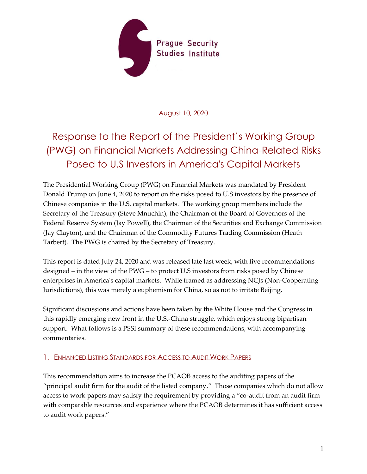

August 10, 2020

# Response to the Report of the President's Working Group (PWG) on Financial Markets Addressing China-Related Risks Posed to U.S Investors in America's Capital Markets

The Presidential Working Group (PWG) on Financial Markets was mandated by President Donald Trump on June 4, 2020 to report on the risks posed to U.S investors by the presence of Chinese companies in the U.S. capital markets. The working group members include the Secretary of the Treasury (Steve Mnuchin), the Chairman of the Board of Governors of the Federal Reserve System (Jay Powell), the Chairman of the Securities and Exchange Commission (Jay Clayton), and the Chairman of the Commodity Futures Trading Commission (Heath Tarbert). The PWG is chaired by the Secretary of Treasury.

This report is dated July 24, 2020 and was released late last week, with five recommendations designed – in the view of the PWG – to protect U.S investors from risks posed by Chinese enterprises in America's capital markets. While framed as addressing NCJs (Non-Cooperating Jurisdictions), this was merely a euphemism for China, so as not to irritate Beijing.

Significant discussions and actions have been taken by the White House and the Congress in this rapidly emerging new front in the U.S.-China struggle, which enjoys strong bipartisan support. What follows is a PSSI summary of these recommendations, with accompanying commentaries.

## 1. ENHANCED LISTING STANDARDS FOR ACCESS TO AUDIT WORK PAPERS

This recommendation aims to increase the PCAOB access to the auditing papers of the "principal audit firm for the audit of the listed company." Those companies which do not allow access to work papers may satisfy the requirement by providing a "co-audit from an audit firm with comparable resources and experience where the PCAOB determines it has sufficient access to audit work papers."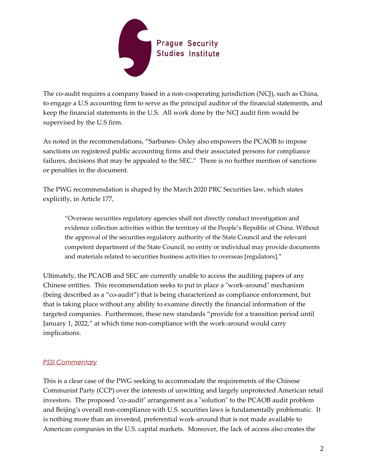

The co-audit requires a company based in a non-cooperating jurisdiction (NCJ), such as China, to engage a U.S accounting firm to serve as the principal auditor of the financial statements, and keep the financial statements in the U.S. All work done by the NCJ audit firm would be supervised by the U.S firm.

As noted in the recommendations, "Sarbanes- Oxley also empowers the PCAOB to impose sanctions on registered public accounting firms and their associated persons for compliance failures, decisions that may be appealed to the SEC." There is no further mention of sanctions or penalties in the document.

The PWG recommendation is shaped by the March 2020 PRC Securities law, which states explicitly, in Article 177,

"Overseas securities regulatory agencies shall not directly conduct investigation and evidence collection activities within the territory of the People's Republic of China. Without the approval of the securities regulatory authority of the State Council and the relevant competent department of the State Council, no entity or individual may provide documents and materials related to securities business activities to overseas [regulators]."

Ultimately, the PCAOB and SEC are currently unable to access the auditing papers of any Chinese entities. This recommendation seeks to put in place a "work-around" mechanism (being described as a "co-audit") that is being characterized as compliance enforcement, but that is taking place without any ability to examine directly the financial information of the targeted companies. Furthermore, these new standards "provide for a transition period until January 1, 2022," at which time non-compliance with the work-around would carry implications.

## *PSSI Commentary*

This is a clear case of the PWG seeking to accommodate the requirements of the Chinese Communist Party (CCP) over the interests of unwitting and largely unprotected American retail investors. The proposed "co-audit" arrangement as a "solution" to the PCAOB audit problem and Beijing's overall non-compliance with U.S. securities laws is fundamentally problematic. It is nothing more than an invented, preferential work-around that is not made available to American companies in the U.S. capital markets. Moreover, the lack of access also creates the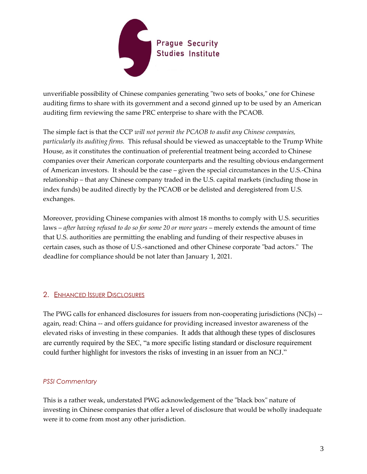

unverifiable possibility of Chinese companies generating "two sets of books," one for Chinese auditing firms to share with its government and a second ginned up to be used by an American auditing firm reviewing the same PRC enterprise to share with the PCAOB.

The simple fact is that the CCP *will not permit the PCAOB to audit any Chinese companies, particularly its auditing firms.* This refusal should be viewed as unacceptable to the Trump White House, as it constitutes the continuation of preferential treatment being accorded to Chinese companies over their American corporate counterparts and the resulting obvious endangerment of American investors. It should be the case – given the special circumstances in the U.S.-China relationship – that any Chinese company traded in the U.S. capital markets (including those in index funds) be audited directly by the PCAOB or be delisted and deregistered from U.S. exchanges.

Moreover, providing Chinese companies with almost 18 months to comply with U.S. securities laws – *after having refused to do so for some 20 or more years* – merely extends the amount of time that U.S. authorities are permitting the enabling and funding of their respective abuses in certain cases, such as those of U.S.-sanctioned and other Chinese corporate "bad actors." The deadline for compliance should be not later than January 1, 2021.

## 2. ENHANCED ISSUER DISCLOSURES

The PWG calls for enhanced disclosures for issuers from non-cooperating jurisdictions (NCJs) - again, read: China -- and offers guidance for providing increased investor awareness of the elevated risks of investing in these companies. It adds that although these types of disclosures are currently required by the SEC, "a more specific listing standard or disclosure requirement could further highlight for investors the risks of investing in an issuer from an NCJ."

## *PSSI Commentary*

This is a rather weak, understated PWG acknowledgement of the "black box" nature of investing in Chinese companies that offer a level of disclosure that would be wholly inadequate were it to come from most any other jurisdiction.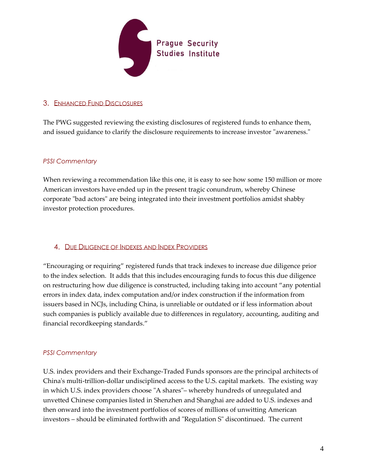

## 3. ENHANCED FUND DISCLOSURES

The PWG suggested reviewing the existing disclosures of registered funds to enhance them, and issued guidance to clarify the disclosure requirements to increase investor "awareness."

## *PSSI Commentary*

When reviewing a recommendation like this one, it is easy to see how some 150 million or more American investors have ended up in the present tragic conundrum, whereby Chinese corporate "bad actors" are being integrated into their investment portfolios amidst shabby investor protection procedures.

## 4. DUE DILIGENCE OF INDEXES AND INDEX PROVIDERS

"Encouraging or requiring" registered funds that track indexes to increase due diligence prior to the index selection. It adds that this includes encouraging funds to focus this due diligence on restructuring how due diligence is constructed, including taking into account "any potential errors in index data, index computation and/or index construction if the information from issuers based in NCJs, including China, is unreliable or outdated or if less information about such companies is publicly available due to differences in regulatory, accounting, auditing and financial recordkeeping standards."

## *PSSI Commentary*

U.S. index providers and their Exchange-Traded Funds sponsors are the principal architects of China's multi-trillion-dollar undisciplined access to the U.S. capital markets. The existing way in which U.S. index providers choose "A shares"– whereby hundreds of unregulated and unvetted Chinese companies listed in Shenzhen and Shanghai are added to U.S. indexes and then onward into the investment portfolios of scores of millions of unwitting American investors – should be eliminated forthwith and "Regulation S" discontinued. The current